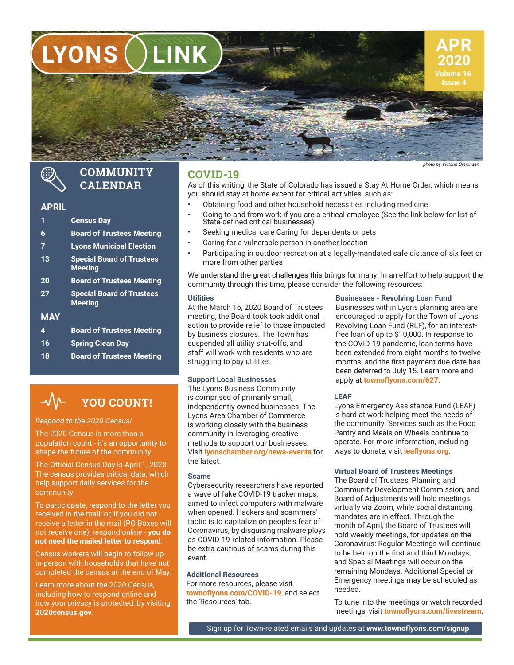**LYONS LINK**



*photo by Victoria Simphoto by Victoria* 

# R

### **COMMUNITY CALENDAR**

### **APRIL**

- **1 Census Day 6 Board of Trustees Meeting**
- 
- **7 Lyons Municipal Election**
- **13 Special Board of Trustees Meeting**
- **20 Board of Trustees Meeting**
- **27 Special Board of Trustees Meeting**

### **MAY**

- **4 Board of Trustees Meeting 16 Spring Clean Day**
- **18 Board of Trustees Meeting**

### **YOU COUNT!**  $\rightsquigarrow$

### *Respond to the 2020 Census!*

The 2020 Census is more than a population count - it's an opportunity to shape the future of the community.

The Official Census Day is April 1, 2020. The census provides critical data, which help support daily services for the community.

To particicpate, respond to the letter you received in the mail; or, if you did not receive a letter in the mail (PO Boxes will not receive one), respond online - **you do not need the mailed letter to respond**.

Census workers will begin to follow up in-person with households that have not completed the census at the end of May.

Learn more about the 2020 Census, including how to respond online and how your privacy is protected, by visiting **2020census.gov**.

### **COVID-19**

As of this writing, the State of Colorado has issued a Stay At Home Order, which means you should stay at home except for critical activities, such as:

- Obtaining food and other household necessities including medicine
- Going to and from work if you are a critical employee (See the link below for list of State-defined critical businesses)
- Seeking medical care Caring for dependents or pets
- Caring for a vulnerable person in another location
- Participating in outdoor recreation at a legally-mandated safe distance of six feet or more from other parties

We understand the great challenges this brings for many. In an effort to help support the community through this time, please consider the following resources:

#### **Utilities**

At the March 16, 2020 Board of Trustees meeting, the Board took took additional action to provide relief to those impacted by business closures. The Town has suspended all utility shut-offs, and staff will work with residents who are struggling to pay utilities.

The Lyons Business Community is comprised of primarily small, independently owned businesses. The Lyons Area Chamber of Commerce is working closely with the business community in leveraging creative methods to support our businesses. Visit **lyonschamber.org/news-events** for the latest.

#### **Scams**

Cybersecurity researchers have reported a wave of fake COVID-19 tracker maps, aimed to infect computers with malware when opened. Hackers and scammers' tactic is to capitalize on people's fear of Coronavirus, by disguising malware ploys as COVID-19-related information. Please be extra cautious of scams during this event.

### **Additional Resources**

For more resources, please visit **townoflyons.com/COVID-19**, and select the 'Resources' tab.

### **Businesses - Revolving Loan Fund**

Businesses within Lyons planning area are encouraged to apply for the Town of Lyons Revolving Loan Fund (RLF), for an interestfree loan of up to \$10,000. In response to the COVID-19 pandemic, loan terms have been extended from eight months to twelve months, and the first payment due date has been deferred to July 15. Learn more and **Support Local Businesses apply at** *townoflyons.com/627***.** 

### **LEAF**

Lyons Emergency Assistance Fund (LEAF) is hard at work helping meet the needs of the community. Services such as the Food Pantry and Meals on Wheels continue to operate. For more information, including ways to donate, visit **leaflyons.org**.

### **Virtual Board of Trustees Meetings**

The Board of Trustees, Planning and Community Development Commission, and Board of Adjustments will hold meetings virtually via Zoom, while social distancing mandates are in effect. Through the month of April, the Board of Trustees will hold weekly meetings, for updates on the Coronavirus: Regular Meetings will continue to be held on the first and third Mondays, and Special Meetings will occur on the remaining Mondays. Additional Special or Emergency meetings may be scheduled as needed.

To tune into the meetings or watch recorded meetings, visit **townoflyons.com/livestream**.